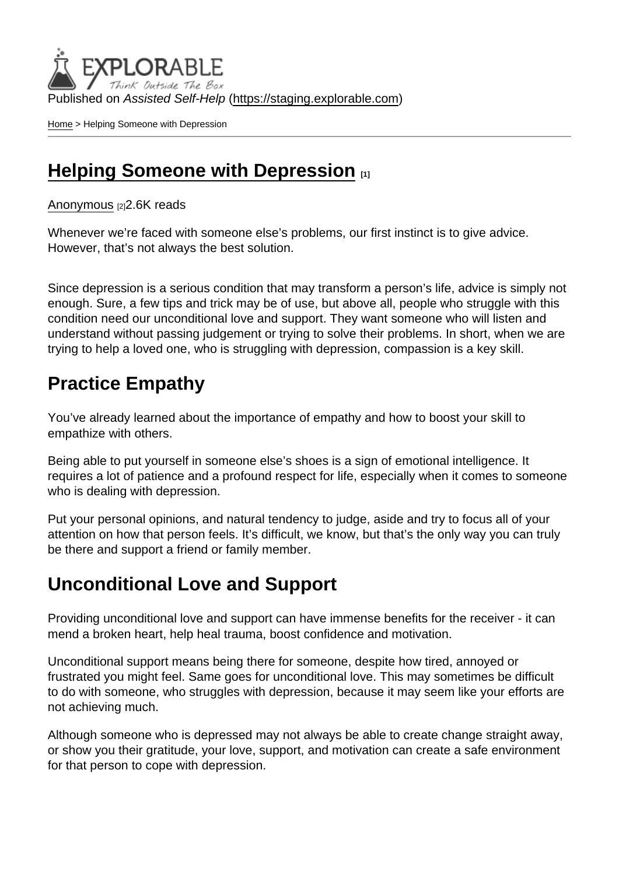Published on Assisted Self-Help [\(https://staging.explorable.com](https://staging.explorable.com))

[Home](https://staging.explorable.com/en) > Helping Someone with Depression

### [Helping Someone with Depression](https://staging.explorable.com/en/e/helping-someone-with-depression)  $_{11}$

[Anonymous](https://staging.explorable.com/en/users/Liya Panayotova) [2] 2.6K reads

Whenever we're faced with someone else's problems, our first instinct is to give advice. However, that's not always the best solution.

Since depression is a serious condition that may transform a person's life, advice is simply not enough. Sure, a few tips and trick may be of use, but above all, people who struggle with this condition need our unconditional love and support. They want someone who will listen and understand without passing judgement or trying to solve their problems. In short, when we are trying to help a loved one, who is struggling with depression, compassion is a key skill.

## Practice Empathy

You've already learned about the importance of empathy and how to boost your skill to empathize with others.

Being able to put yourself in someone else's shoes is a sign of emotional intelligence. It requires a lot of patience and a profound respect for life, especially when it comes to someone who is dealing with depression.

Put your personal opinions, and natural tendency to judge, aside and try to focus all of your attention on how that person feels. It's difficult, we know, but that's the only way you can truly be there and support a friend or family member.

## Unconditional Love and Support

Providing unconditional love and support can have immense benefits for the receiver - it can mend a broken heart, help heal trauma, boost confidence and motivation.

Unconditional support means being there for someone, despite how tired, annoyed or frustrated you might feel. Same goes for unconditional love. This may sometimes be difficult to do with someone, who struggles with depression, because it may seem like your efforts are not achieving much.

Although someone who is depressed may not always be able to create change straight away, or show you their gratitude, your love, support, and motivation can create a safe environment for that person to cope with depression.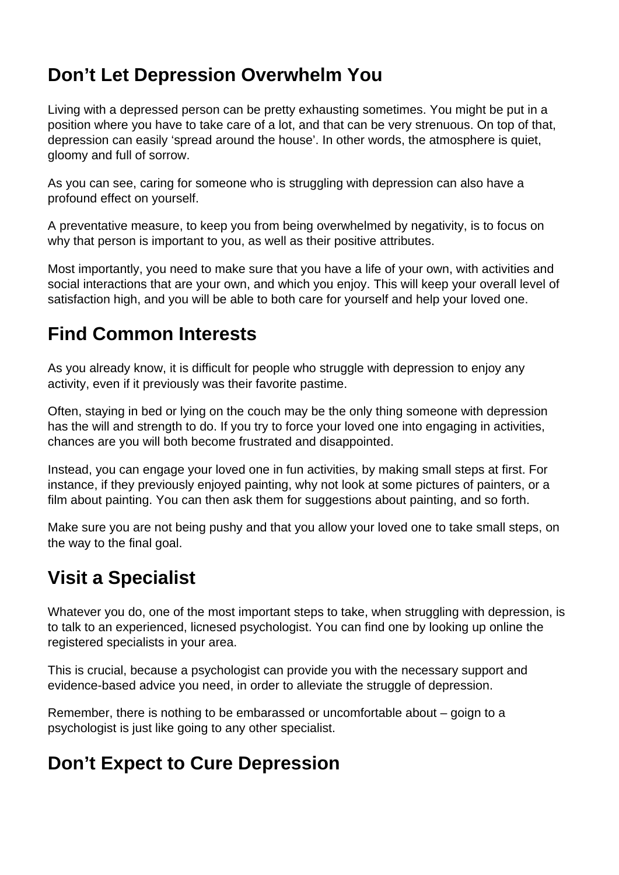# **Don't Let Depression Overwhelm You**

Living with a depressed person can be pretty exhausting sometimes. You might be put in a position where you have to take care of a lot, and that can be very strenuous. On top of that, depression can easily 'spread around the house'. In other words, the atmosphere is quiet, gloomy and full of sorrow.

As you can see, caring for someone who is struggling with depression can also have a profound effect on yourself.

A preventative measure, to keep you from being overwhelmed by negativity, is to focus on why that person is important to you, as well as their positive attributes.

Most importantly, you need to make sure that you have a life of your own, with activities and social interactions that are your own, and which you enjoy. This will keep your overall level of satisfaction high, and you will be able to both care for yourself and help your loved one.

## **Find Common Interests**

As you already know, it is difficult for people who struggle with depression to enjoy any activity, even if it previously was their favorite pastime.

Often, staying in bed or lying on the couch may be the only thing someone with depression has the will and strength to do. If you try to force your loved one into engaging in activities, chances are you will both become frustrated and disappointed.

Instead, you can engage your loved one in fun activities, by making small steps at first. For instance, if they previously enjoyed painting, why not look at some pictures of painters, or a film about painting. You can then ask them for suggestions about painting, and so forth.

Make sure you are not being pushy and that you allow your loved one to take small steps, on the way to the final goal.

# **Visit a Specialist**

Whatever you do, one of the most important steps to take, when struggling with depression, is to talk to an experienced, licnesed psychologist. You can find one by looking up online the registered specialists in your area.

This is crucial, because a psychologist can provide you with the necessary support and evidence-based advice you need, in order to alleviate the struggle of depression.

Remember, there is nothing to be embarassed or uncomfortable about – goign to a psychologist is just like going to any other specialist.

# **Don't Expect to Cure Depression**